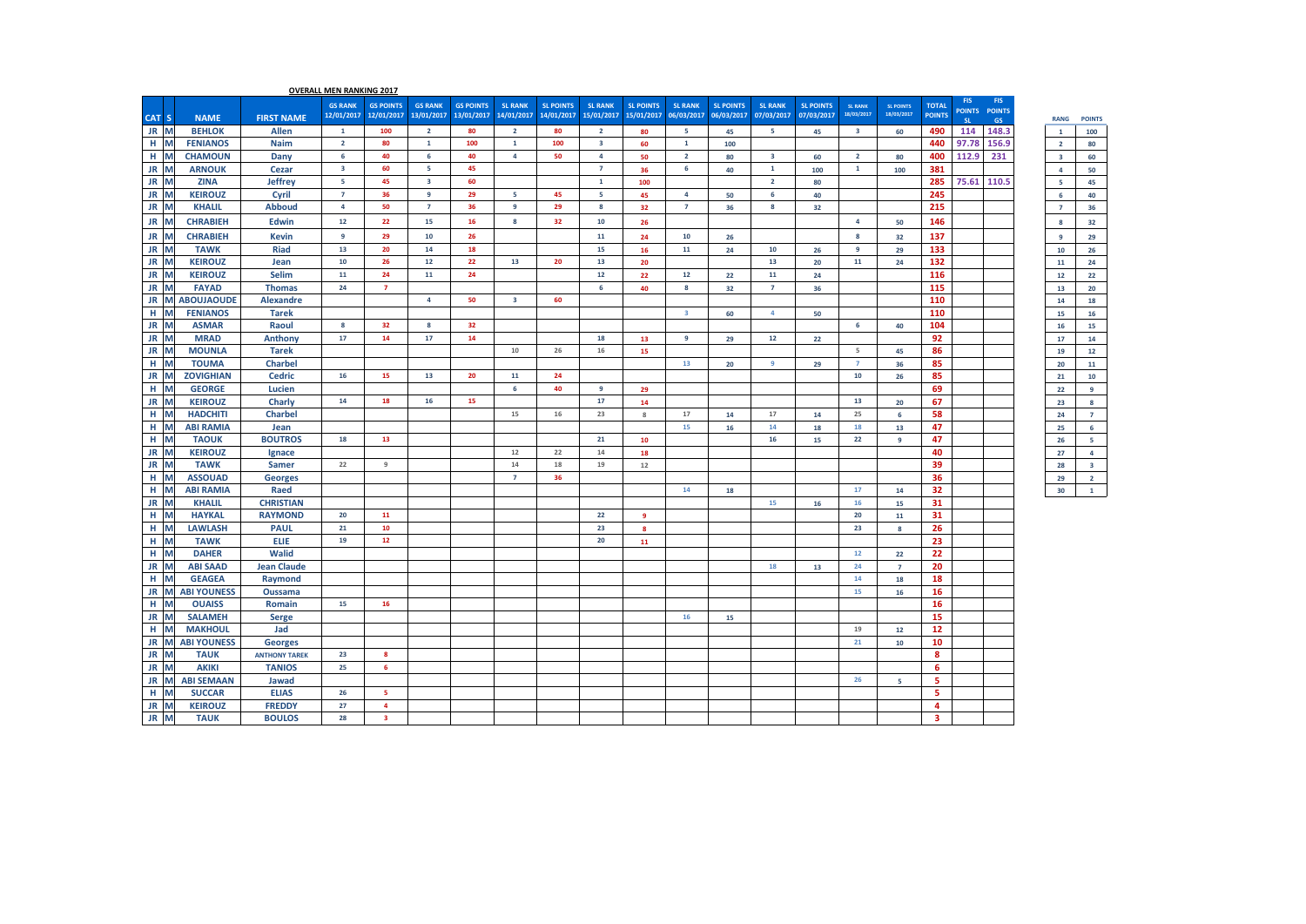|                  |                    |                      | <b>OVERALL MEN RANKING 2017</b> |                                |                              |                                |                              |                                |                              |                                |                              |                                |                              |                                |                              |                                |                               |                                    |                             |
|------------------|--------------------|----------------------|---------------------------------|--------------------------------|------------------------------|--------------------------------|------------------------------|--------------------------------|------------------------------|--------------------------------|------------------------------|--------------------------------|------------------------------|--------------------------------|------------------------------|--------------------------------|-------------------------------|------------------------------------|-----------------------------|
| CAT <sub>S</sub> | <b>NAME</b>        | <b>FIRST NAME</b>    | <b>GS RANK</b><br>12/01/2017    | <b>GS POINTS</b><br>12/01/2017 | <b>GS RANK</b><br>13/01/2017 | <b>GS POINTS</b><br>13/01/2017 | <b>SL RANK</b><br>14/01/2017 | <b>SL POINTS</b><br>14/01/2017 | <b>SL RANK</b><br>15/01/2017 | <b>SL POINTS</b><br>15/01/2017 | <b>SL RANK</b><br>06/03/2017 | <b>SL POINTS</b><br>06/03/2017 | <b>SL RANK</b><br>07/03/2017 | <b>SL POINTS</b><br>07/03/2017 | <b>SL RANK</b><br>18/03/2017 | <b>SL POINTS</b><br>18/03/2017 | <b>TOTAL</b><br><b>POINTS</b> | <b>FIS</b><br><b>POINTS</b><br>SL. | FIS-<br><b>POINTS</b><br>GS |
| JR M             | <b>BEHLOK</b>      | Allen                | $\mathbf{1}$                    | 100                            | $\overline{2}$               | 80                             | $\overline{2}$               | 80                             | $\overline{2}$               | 80                             | 5                            | 45                             | 5                            | 45                             | $\overline{\mathbf{3}}$      | 60                             | 490                           |                                    | 114 148.3                   |
| н<br>M           | <b>FENIANOS</b>    | <b>Naim</b>          | $\overline{2}$                  | 80                             | $\mathbf 1$                  | 100                            | $\mathbf{1}$                 | 100                            | $\mathbf{3}$                 | 60                             | $\mathbf{1}$                 | 100                            |                              |                                |                              |                                | 440                           |                                    | 97.78 156.9                 |
| н.               | <b>CHAMOUN</b>     | Dany                 | 6                               | 40                             | $6\phantom{1}6$              | 40                             | 4                            | 50                             | $\overline{4}$               | 50                             | $\overline{2}$               | 80                             | $\overline{\mathbf{3}}$      | 60                             | $\overline{2}$               | 80                             | 400                           | 112.9                              | 231                         |
| JR N             | <b>ARNOUK</b>      | Cezar                | $\overline{\mathbf{3}}$         | 60                             | 5                            | 45                             |                              |                                | $\overline{7}$               | 36                             | 6                            | 40                             | $\mathbf{1}$                 | 100                            | $\mathbf{1}$                 | 100                            | 381                           |                                    |                             |
| JR M             | <b>ZINA</b>        | <b>Jeffrey</b>       | 5                               | 45                             | $\overline{\mathbf{3}}$      | 60                             |                              |                                | $\mathbf{1}$                 | 100                            |                              |                                | $\overline{2}$               | 80                             |                              |                                | 285                           |                                    | 75.61 110.5                 |
| JR M             | <b>KEIROUZ</b>     | Cyril                | $\overline{7}$                  | 36                             | $\overline{9}$               | 29                             | 5                            | 45                             | 5                            | 45                             | $\overline{4}$               | 50                             | 6                            | 40                             |                              |                                | 245                           |                                    |                             |
| JR M             | <b>KHALIL</b>      | <b>Abboud</b>        | $\overline{a}$                  | 50                             | $\overline{7}$               | 36                             | $\overline{9}$               | 29                             | $\bf{8}$                     | 32                             | $7\overline{ }$              | 36                             | $\boldsymbol{8}$             | 32                             |                              |                                | 215                           |                                    |                             |
| JR M             | <b>CHRABIEH</b>    | Edwin                | 12                              | 22                             | 15                           | 16                             | 8                            | 32                             | $10\,$                       | 26                             |                              |                                |                              |                                | 4                            | 50                             | 146                           |                                    |                             |
| JR M             | <b>CHRABIEH</b>    | <b>Kevin</b>         | 9                               | 29                             | 10                           | 26                             |                              |                                | 11                           | 24                             | 10                           | 26                             |                              |                                | $\boldsymbol{8}$             | 32                             | 137                           |                                    |                             |
| JR M             | <b>TAWK</b>        | <b>Riad</b>          | 13                              | 20                             | 14                           | 18                             |                              |                                | 15                           | 16                             | 11                           | 24                             | 10                           | 26                             | 9                            | 29                             | 133                           |                                    |                             |
| JR M             | <b>KEIROUZ</b>     | Jean                 | 10                              | 26                             | 12                           | 22                             | 13                           | 20                             | 13                           | 20                             |                              |                                | 13                           | 20                             | 11                           | 24                             | 132                           |                                    |                             |
| JR M             | <b>KEIROUZ</b>     | Selim                | 11                              | 24                             | 11                           | 24                             |                              |                                | 12                           | 22                             | 12                           | 22                             | 11                           | 24                             |                              |                                | 116                           |                                    |                             |
| JR M             | <b>FAYAD</b>       | <b>Thomas</b>        | 24                              | $\overline{7}$                 |                              |                                |                              |                                | 6                            | 40                             | $\boldsymbol{8}$             | 32                             | $\overline{7}$               | 36                             |                              |                                | 115                           |                                    |                             |
| JR M             | <b>ABOUJAOUDE</b>  | <b>Alexandre</b>     |                                 |                                | $\overline{4}$               | 50                             | $\overline{\mathbf{3}}$      | 60                             |                              |                                |                              |                                |                              |                                |                              |                                | 110                           |                                    |                             |
| н<br>IM          | <b>FENIANOS</b>    | <b>Tarek</b>         |                                 |                                |                              |                                |                              |                                |                              |                                | $\overline{\mathbf{3}}$      | 60                             | $\overline{a}$               | 50                             |                              |                                | 110                           |                                    |                             |
| JR M             | <b>ASMAR</b>       | Raoul                | $\boldsymbol{8}$                | 32                             | 8                            | 32                             |                              |                                |                              |                                |                              |                                |                              |                                | $6\phantom{1}6$              | 40                             | 104                           |                                    |                             |
| JR M             | <b>MRAD</b>        | Anthony              | 17                              | 14                             | 17                           | 14                             |                              |                                | 18                           | 13                             | 9                            | 29                             | 12                           | 22                             |                              |                                | 92                            |                                    |                             |
| JR M             | <b>MOUNLA</b>      | <b>Tarek</b>         |                                 |                                |                              |                                | 10                           | 26                             | 16                           | 15                             |                              |                                |                              |                                | $\overline{5}$               | 45                             | 86                            |                                    |                             |
| н<br>M           | <b>TOUMA</b>       | Charbel              |                                 |                                |                              |                                |                              |                                |                              |                                | 13                           | 20                             | 9                            | 29                             | $\overline{7}$               | 36                             | 85                            |                                    |                             |
| JR M             | <b>ZOVIGHIAN</b>   | Cedric               | 16                              | 15                             | 13                           | 20                             | 11                           | 24                             |                              |                                |                              |                                |                              |                                | 10                           | 26                             | 85                            |                                    |                             |
| H M              | <b>GEORGE</b>      | Lucien               |                                 |                                |                              |                                | 6                            | 40                             | 9                            | 29                             |                              |                                |                              |                                |                              |                                | 69                            |                                    |                             |
| JR M             | <b>KEIROUZ</b>     | Charly               | 14                              | 18                             | 16                           | 15                             |                              |                                | 17                           | 14                             |                              |                                |                              |                                | 13                           | 20                             | 67                            |                                    |                             |
| H M              | <b>HADCHITI</b>    | <b>Charbel</b>       |                                 |                                |                              |                                | 15                           | 16                             | 23                           | $^{8}$                         | 17                           | 14                             | 17                           | 14                             | 25                           | 6                              | 58                            |                                    |                             |
| $H$ $N$          | <b>ABI RAMIA</b>   | Jean                 |                                 |                                |                              |                                |                              |                                |                              |                                | 15                           | 16                             | 14                           | 18                             | 18                           | 13                             | 47                            |                                    |                             |
| $H$ $N$          | <b>TAOUK</b>       | <b>BOUTROS</b>       | 18                              | 13                             |                              |                                |                              |                                | 21                           | 10                             |                              |                                | 16                           | 15                             | 22                           | $\,$ 9                         | 47                            |                                    |                             |
| JR M             | <b>KEIROUZ</b>     | Ignace               |                                 |                                |                              |                                | 12                           | 22                             | 14                           | 18                             |                              |                                |                              |                                |                              |                                | 40                            |                                    |                             |
| JR N             | <b>TAWK</b>        | <b>Samer</b>         | 22                              | 9                              |                              |                                | 14                           | 18                             | 19                           | $12\,$                         |                              |                                |                              |                                |                              |                                | 39                            |                                    |                             |
| $H$ $N$          | <b>ASSOUAD</b>     | <b>Georges</b>       |                                 |                                |                              |                                | $\overline{7}$               | 36                             |                              |                                |                              |                                |                              |                                |                              |                                | 36                            |                                    |                             |
| $H$ N            | <b>ABI RAMIA</b>   | Raed                 |                                 |                                |                              |                                |                              |                                |                              |                                | 14                           | 18                             |                              |                                | 17                           | 14                             | 32                            |                                    |                             |
| JR N             | <b>KHALIL</b>      | <b>CHRISTIAN</b>     |                                 |                                |                              |                                |                              |                                |                              |                                |                              |                                | 15                           | 16                             | 16                           | 15                             | 31                            |                                    |                             |
| н                | <b>HAYKAL</b>      | <b>RAYMOND</b>       | 20                              | 11                             |                              |                                |                              |                                | 22                           | 9                              |                              |                                |                              |                                | 20                           | 11                             | 31                            |                                    |                             |
| $H$ $N$          | <b>LAWLASH</b>     | <b>PAUL</b>          | 21                              | 10                             |                              |                                |                              |                                | 23                           | 8                              |                              |                                |                              |                                | 23                           | $\boldsymbol{8}$               | 26                            |                                    |                             |
| н                | <b>TAWK</b>        | <b>ELIE</b>          | 19                              | 12                             |                              |                                |                              |                                | 20                           | 11                             |                              |                                |                              |                                |                              |                                | 23                            |                                    |                             |
| н                | <b>DAHER</b>       | Walid                |                                 |                                |                              |                                |                              |                                |                              |                                |                              |                                |                              |                                | 12                           | 22                             | 22                            |                                    |                             |
| JR.              | <b>ABI SAAD</b>    | <b>Jean Claude</b>   |                                 |                                |                              |                                |                              |                                |                              |                                |                              |                                | 18                           | 13                             | 24                           | $\overline{7}$                 | 20                            |                                    |                             |
| н                | <b>GEAGEA</b>      | Raymond              |                                 |                                |                              |                                |                              |                                |                              |                                |                              |                                |                              |                                | 14                           | 18                             | 18                            |                                    |                             |
| <b>JR</b>        | <b>ABI YOUNESS</b> | Oussama              |                                 |                                |                              |                                |                              |                                |                              |                                |                              |                                |                              |                                | 15                           | 16                             | 16                            |                                    |                             |
| н                | <b>OUAISS</b>      | Romain               | 15                              | 16                             |                              |                                |                              |                                |                              |                                |                              |                                |                              |                                |                              |                                | 16                            |                                    |                             |
| JR.              | <b>SALAMEH</b>     | <b>Serge</b>         |                                 |                                |                              |                                |                              |                                |                              |                                | 16                           | 15                             |                              |                                |                              |                                | 15                            |                                    |                             |
| н                | <b>MAKHOUL</b>     | Jad                  |                                 |                                |                              |                                |                              |                                |                              |                                |                              |                                |                              |                                | 19                           | 12                             | 12                            |                                    |                             |
| JR.              | <b>ABI YOUNESS</b> | <b>Georges</b>       |                                 |                                |                              |                                |                              |                                |                              |                                |                              |                                |                              |                                | 21                           | 10                             | 10                            |                                    |                             |
| JR.              | <b>TAUK</b>        | <b>ANTHONY TAREK</b> | 23                              | $\mathbf{8}$                   |                              |                                |                              |                                |                              |                                |                              |                                |                              |                                |                              |                                | 8                             |                                    |                             |
| JR.              | <b>AKIKI</b>       | <b>TANIOS</b>        | 25                              | $6\overline{6}$                |                              |                                |                              |                                |                              |                                |                              |                                |                              |                                |                              |                                | 6                             |                                    |                             |
| <b>JR</b>        | <b>ABI SEMAAN</b>  | Jawad                |                                 |                                |                              |                                |                              |                                |                              |                                |                              |                                |                              |                                | 26                           | 5                              | 5                             |                                    |                             |
| н                | <b>SUCCAR</b>      | <b>ELIAS</b>         | 26                              | -5                             |                              |                                |                              |                                |                              |                                |                              |                                |                              |                                |                              |                                | 5                             |                                    |                             |
| JR               | <b>KEIROUZ</b>     | <b>FREDDY</b>        | 27                              | $\overline{4}$                 |                              |                                |                              |                                |                              |                                |                              |                                |                              |                                |                              |                                | 4                             |                                    |                             |
| JR M             | <b>TAUK</b>        | <b>BOULOS</b>        | 28                              | $\overline{\mathbf{3}}$        |                              |                                |                              |                                |                              |                                |                              |                                |                              |                                |                              |                                | 3                             |                                    |                             |

**EXAMG POINTS**<br> **EXAMG EXAMPLE 100**<br> **EXAMPLE 100**<br> **EXAMPLE 100**<br> **EXAMPLE 100**<br> **EXAMPLE 100**<br> **EXAMPLE 10**<br> **EXAMPLE 10**<br> **EXAMPLE 10**<br> **EXAMPLE 10**<br> **EXAMPLE 10**<br> **EXAMPLE 10**<br> **EXAMPLE 10**<br> **EXAMPLE 10**<br> **EXAMPLE**